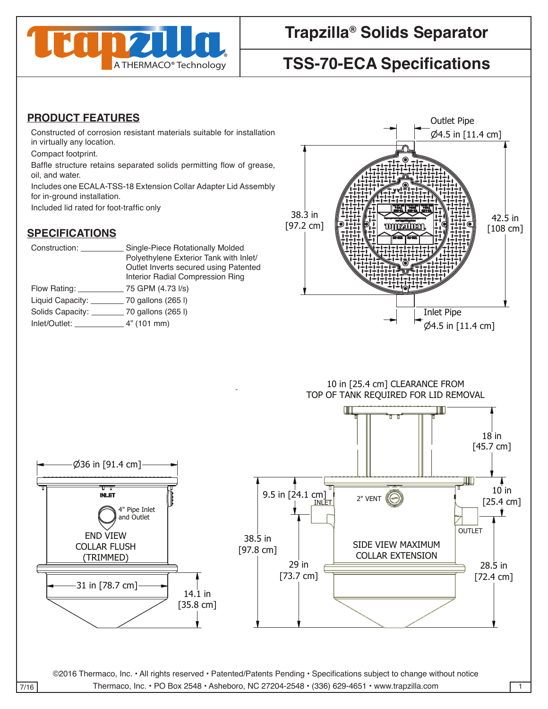

# **Trapzilla® Solids Separator**

# **TSS-70-ECA Specifications**

#### **PRODUCT FEATURES**

Constructed of corrosion resistant materials suitable for installation in virtually any location.

Compact footprint.

Baffle structure retains separated solids permitting flow of grease, oil, and water.

Includes one ECALA-TSS-18 Extension Collar Adapter Lid Assembly for in-ground installation. Outlet Pipe

Included lid rated for foot-traffic only

### **SPECIFICATIONS**

38.3 in [97.2 cm]

| Construction:                 | Single-Piece Rotationally Molded<br>Polyethylene Exterior Tank with Inlet/<br>Outlet Inverts secured using Patented<br>Interior Radial Compression Ring |
|-------------------------------|---------------------------------------------------------------------------------------------------------------------------------------------------------|
| Flow Rating: __________       | 75 GPM (4.73 I/s)                                                                                                                                       |
|                               | Liquid Capacity: _____________ 70 gallons (265 l)                                                                                                       |
|                               | Solids Capacity: __________ 70 gallons (265 l)                                                                                                          |
| $Inlet/Outlet:$ $4" (101 mm)$ |                                                                                                                                                         |
|                               |                                                                                                                                                         |



<sup>36</sup> in [91.4 cm] 10 in [25.4 cm] CLEARANCE FROM 10 in [25.4 cm] CLEARANCE FROM contracts and contracts are contracted and contracts are contracted and contract of the contract of the contract TOP OF TANK REQUIRED FOR LID REMOVAL TOP OF TANK REQUIRED FOR LID REMOVAL contract the contract of the contract of the contract of the contract of the contract of the contract of the c



©2016 Thermaco, Inc. • All rights reserved • Patented/Patents Pending • Specifications subject to change without notice 7/16 Thermaco, Inc. • PO Box 2548 • Asheboro, NC 27204-2548 • (336) 629-4651 • www.trapzilla.com . All rights reserved · Patented/Patents Pending · Specifications subject to change without noti-CHECKED SIZE REV. NO. DWG NO. without notice

WEITTEN CONSENT FROM THE REMAINING DOES NOT THIS DRAWING DOES NOT THIS DRAWING DOES NOT CONSTITUTE THE RIGHT TO

WEITTEN CONSENT FROM THE REMAINING DOES NOT THIS DRAWING DOES NOT THIS DRAWING DOES NOT CONSTITUTE THE RIGHT TO

PART NO. <sup>C</sup>